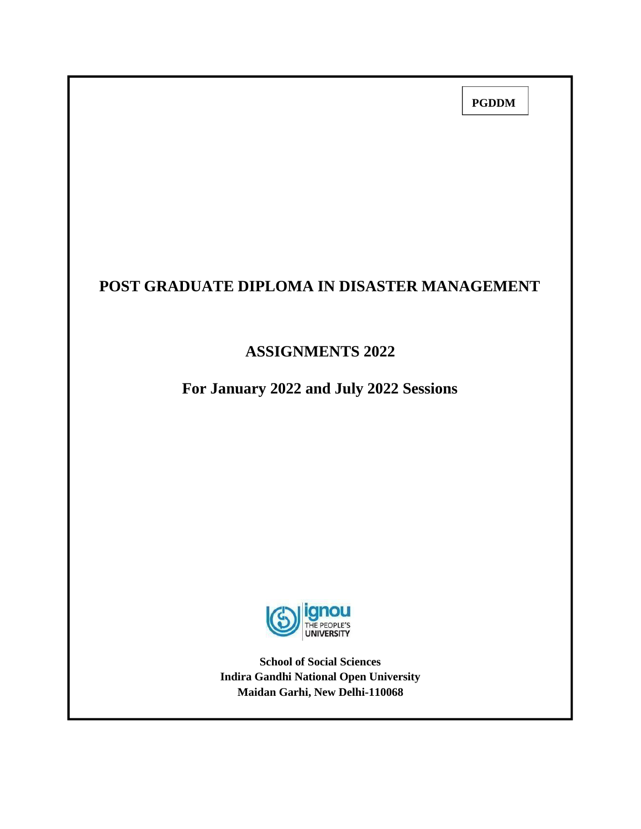**PGDDM**

# **POST GRADUATE DIPLOMA IN DISASTER MANAGEMENT**

# **ASSIGNMENTS 2022**

**For January 2022 and July 2022 Sessions**



**School of Social Sciences Indira Gandhi National Open University Maidan Garhi, New Delhi-110068**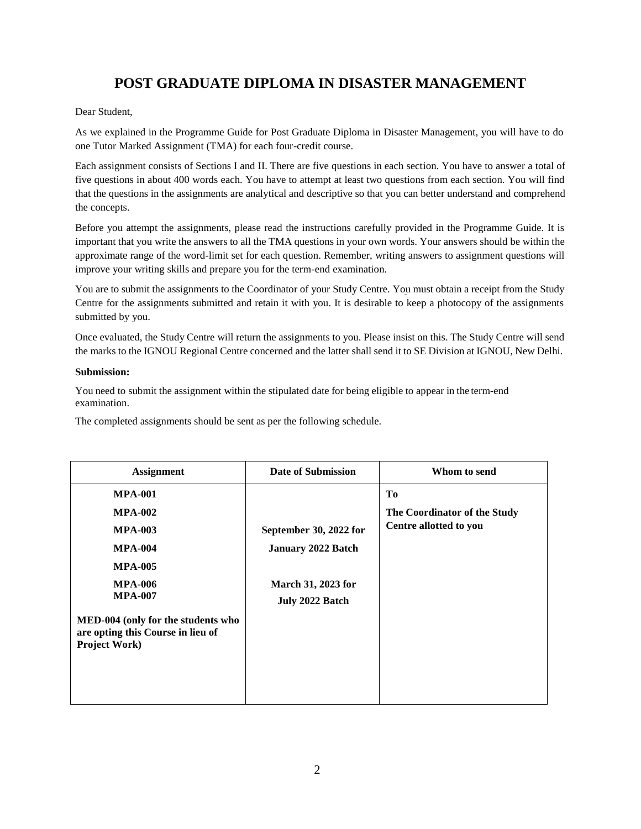# **POST GRADUATE DIPLOMA IN DISASTER MANAGEMENT**

#### Dear Student,

As we explained in the Programme Guide for Post Graduate Diploma in Disaster Management, you will have to do one Tutor Marked Assignment (TMA) for each four-credit course.

Each assignment consists of Sections I and II. There are five questions in each section. You have to answer a total of five questions in about 400 words each. You have to attempt at least two questions from each section. You will find that the questions in the assignments are analytical and descriptive so that you can better understand and comprehend the concepts.

Before you attempt the assignments, please read the instructions carefully provided in the Programme Guide. It is important that you write the answers to all the TMA questions in your own words. Your answers should be within the approximate range of the word-limit set for each question. Remember, writing answers to assignment questions will improve your writing skills and prepare you for the term-end examination.

You are to submit the assignments to the Coordinator of your Study Centre. You must obtain a receipt from the Study Centre for the assignments submitted and retain it with you. It is desirable to keep a photocopy of the assignments submitted by you.

Once evaluated, the Study Centre will return the assignments to you. Please insist on this. The Study Centre will send the marks to the IGNOU Regional Centre concerned and the latter shall send it to SE Division at IGNOU, New Delhi.

#### **Submission:**

You need to submit the assignment within the stipulated date for being eligible to appear in the term-end examination.

The completed assignments should be sent as per the following schedule.

| <b>Assignment</b>                                                                                                                                                                                                      | Date of Submission                                                                                  | Whom to send                                                             |
|------------------------------------------------------------------------------------------------------------------------------------------------------------------------------------------------------------------------|-----------------------------------------------------------------------------------------------------|--------------------------------------------------------------------------|
| <b>MPA-001</b><br><b>MPA-002</b><br><b>MPA-003</b><br><b>MPA-004</b><br><b>MPA-005</b><br><b>MPA-006</b><br><b>MPA-007</b><br>MED-004 (only for the students who<br>are opting this Course in lieu of<br>Project Work) | September 30, 2022 for<br><b>January 2022 Batch</b><br><b>March 31, 2023 for</b><br>July 2022 Batch | T <sub>0</sub><br>The Coordinator of the Study<br>Centre allotted to you |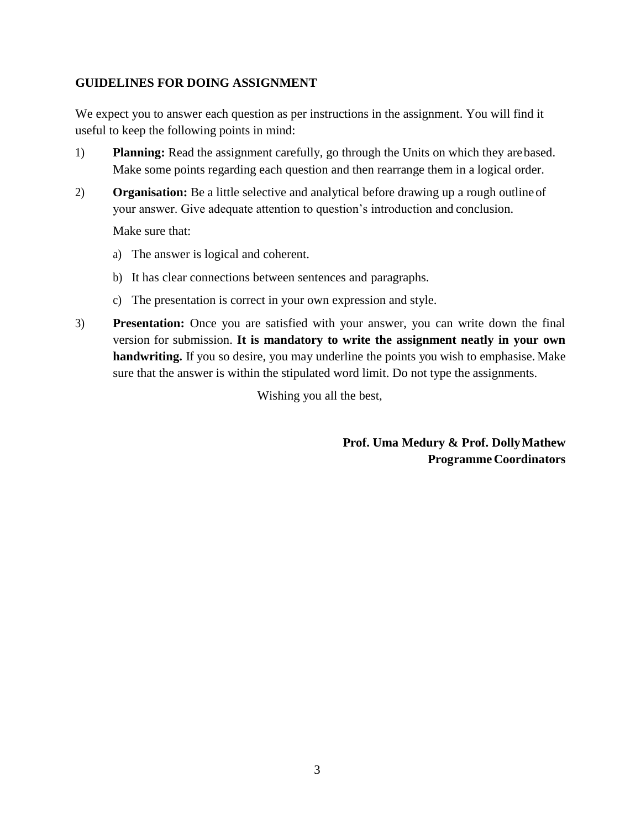# **GUIDELINES FOR DOING ASSIGNMENT**

We expect you to answer each question as per instructions in the assignment. You will find it useful to keep the following points in mind:

- 1) **Planning:** Read the assignment carefully, go through the Units on which they arebased. Make some points regarding each question and then rearrange them in a logical order.
- 2) **Organisation:** Be a little selective and analytical before drawing up a rough outline of your answer. Give adequate attention to question's introduction and conclusion.

Make sure that:

- a) The answer is logical and coherent.
- b) It has clear connections between sentences and paragraphs.
- c) The presentation is correct in your own expression and style.
- 3) **Presentation:** Once you are satisfied with your answer, you can write down the final version for submission. **It is mandatory to write the assignment neatly in your own handwriting.** If you so desire, you may underline the points you wish to emphasise. Make sure that the answer is within the stipulated word limit. Do not type the assignments.

Wishing you all the best,

**Prof. Uma Medury & Prof. DollyMathew Programme Coordinators**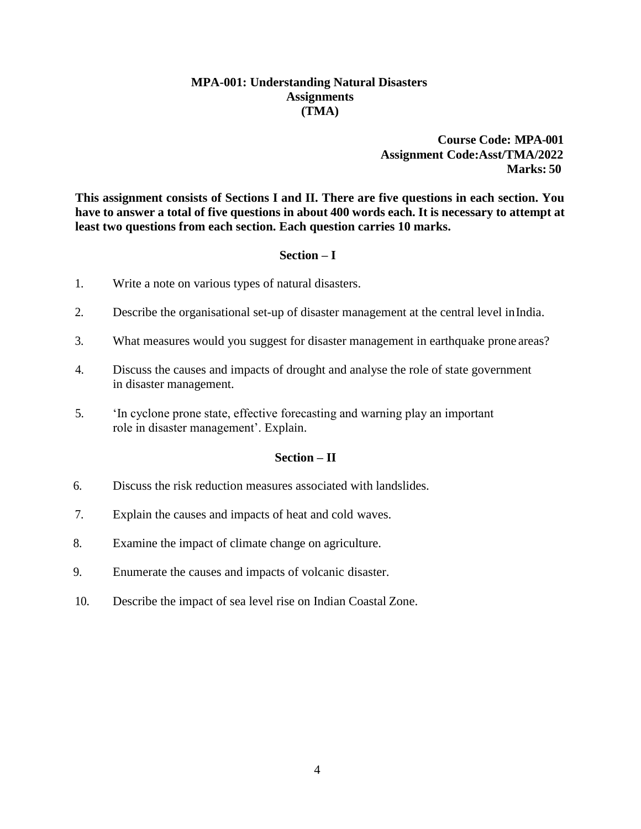### **MPA-001: Understanding Natural Disasters Assignments (TMA)**

### **Course Code: MPA-001 Assignment Code:Asst/TMA/2022 Marks: 50**

**This assignment consists of Sections I and II. There are five questions in each section. You**  have to answer a total of five questions in about 400 words each. It is necessary to attempt at **least two questions from each section. Each question carries 10 marks.**

#### **Section – I**

- 1. Write a note on various types of natural disasters.
- 2. Describe the organisational set-up of disaster management at the central level inIndia.
- 3. What measures would you suggest for disaster management in earthquake prone areas?
- 4. Discuss the causes and impacts of drought and analyse the role of state government in disaster management.
- 5. 'In cyclone prone state, effective forecasting and warning play an important role in disaster management'. Explain.

#### **Section – II**

- 6. Discuss the risk reduction measures associated with landslides.
- 7. Explain the causes and impacts of heat and cold waves.
- 8. Examine the impact of climate change on agriculture.
- 9. Enumerate the causes and impacts of volcanic disaster.
- 10. Describe the impact of sea level rise on Indian Coastal Zone.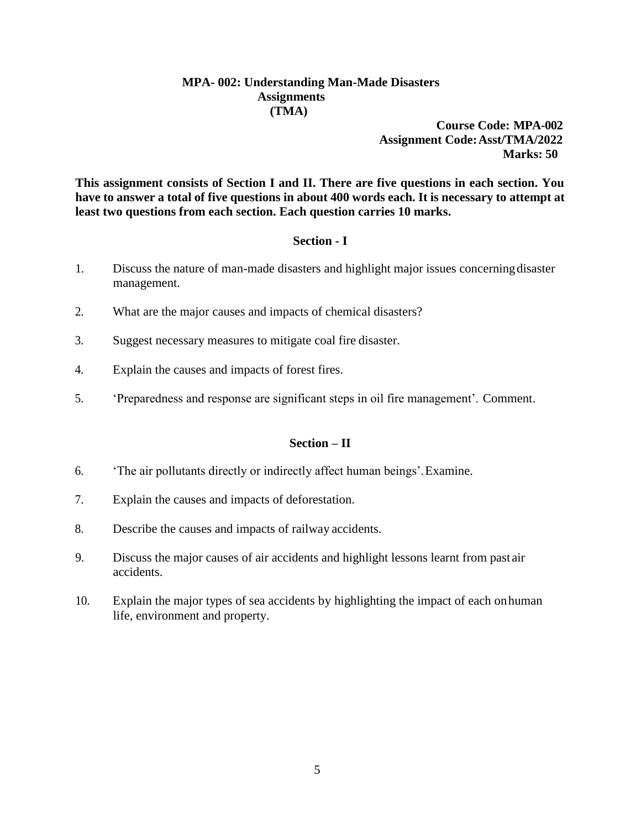### **MPA- 002: Understanding Man-Made Disasters Assignments (TMA)**

**Course Code: MPA-002 Assignment Code:Asst/TMA/2022 Marks: 50**

**This assignment consists of Section I and II. There are five questions in each section. You**  have to answer a total of five questions in about 400 words each. It is necessary to attempt at **least two questions from each section. Each question carries 10 marks.**

### **Section - I**

- 1. Discuss the nature of man-made disasters and highlight major issues concerningdisaster management.
- 2. What are the major causes and impacts of chemical disasters?
- 3. Suggest necessary measures to mitigate coal fire disaster.
- 4. Explain the causes and impacts of forest fires.
- 5. 'Preparedness and response are significant steps in oil fire management'. Comment.

### **Section – II**

- 6. 'The air pollutants directly or indirectly affect human beings'.Examine.
- 7. Explain the causes and impacts of deforestation.
- 8. Describe the causes and impacts of railway accidents.
- 9. Discuss the major causes of air accidents and highlight lessons learnt from past air accidents.
- 10. Explain the major types of sea accidents by highlighting the impact of each onhuman life, environment and property.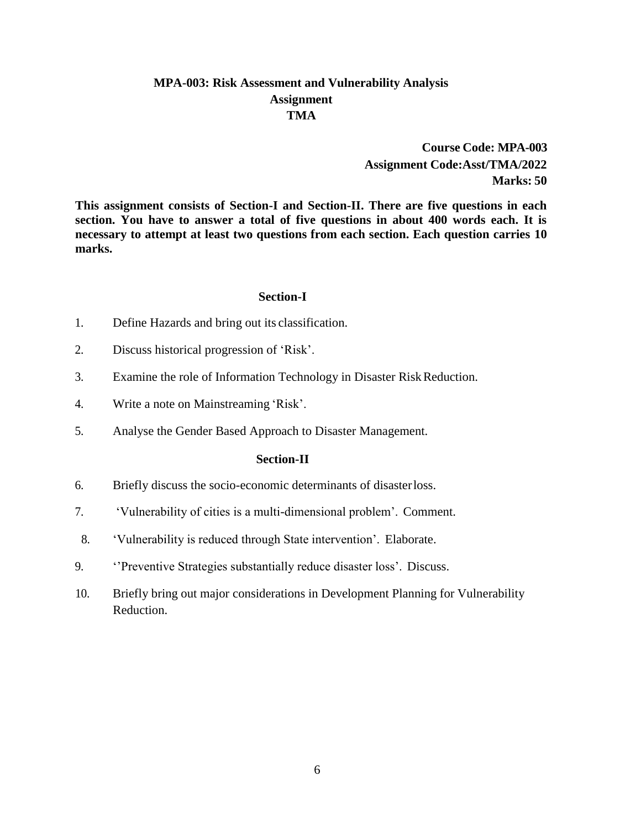# **MPA-003: Risk Assessment and Vulnerability Analysis Assignment TMA**

**Course Code: MPA-003 Assignment Code:Asst/TMA/2022 Marks: 50**

**This assignment consists of Section-I and Section-II. There are five questions in each section. You have to answer a total of five questions in about 400 words each. It is necessary to attempt at least two questions from each section. Each question carries 10 marks.**

#### **Section-I**

- 1. Define Hazards and bring out its classification.
- 2. Discuss historical progression of 'Risk'.
- 3. Examine the role of Information Technology in Disaster Risk Reduction.
- 4. Write a note on Mainstreaming 'Risk'.
- 5. Analyse the Gender Based Approach to Disaster Management.

- 6. Briefly discuss the socio-economic determinants of disasterloss.
- 7. 'Vulnerability of cities is a multi-dimensional problem'. Comment.
- 8. 'Vulnerability is reduced through State intervention'. Elaborate.
- 9. ''Preventive Strategies substantially reduce disaster loss'. Discuss.
- 10. Briefly bring out major considerations in Development Planning for Vulnerability Reduction.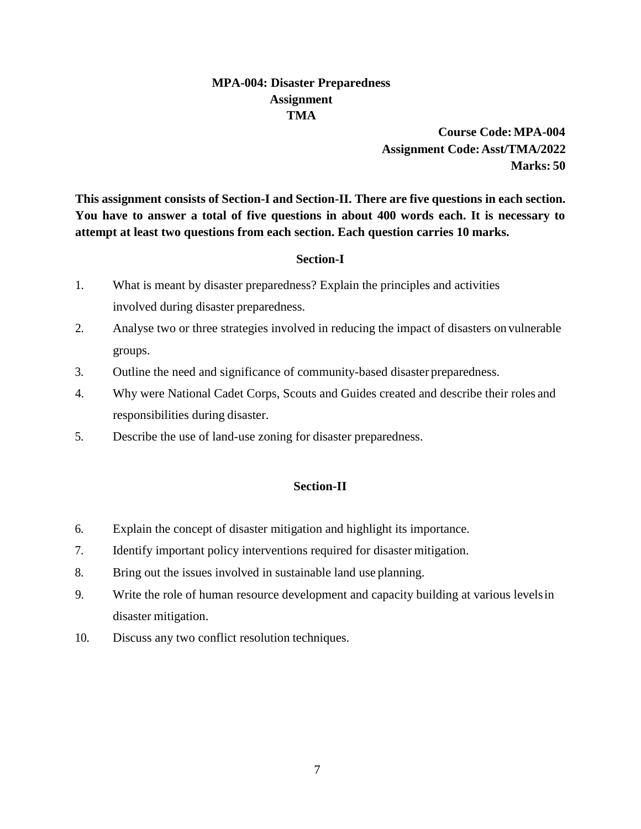# **MPA-004: Disaster Preparedness Assignment TMA**

**Course Code:MPA-004 Assignment Code:Asst/TMA/2022 Marks: 50**

**This assignment consists of Section-I and Section-II. There are five questions in each section. You have to answer a total of five questions in about 400 words each. It is necessary to attempt at least two questions from each section. Each question carries 10 marks.**

# **Section-I**

- 1. What is meant by disaster preparedness? Explain the principles and activities involved during disaster preparedness.
- 2. Analyse two or three strategies involved in reducing the impact of disasters on vulnerable groups.
- 3. Outline the need and significance of community-based disaster preparedness.
- 4. Why were National Cadet Corps, Scouts and Guides created and describe their roles and responsibilities during disaster.
- 5. Describe the use of land-use zoning for disaster preparedness.

- 6. Explain the concept of disaster mitigation and highlight its importance.
- 7. Identify important policy interventions required for disaster mitigation.
- 8. Bring out the issues involved in sustainable land use planning.
- 9. Write the role of human resource development and capacity building at various levelsin disaster mitigation.
- 10. Discuss any two conflict resolution techniques.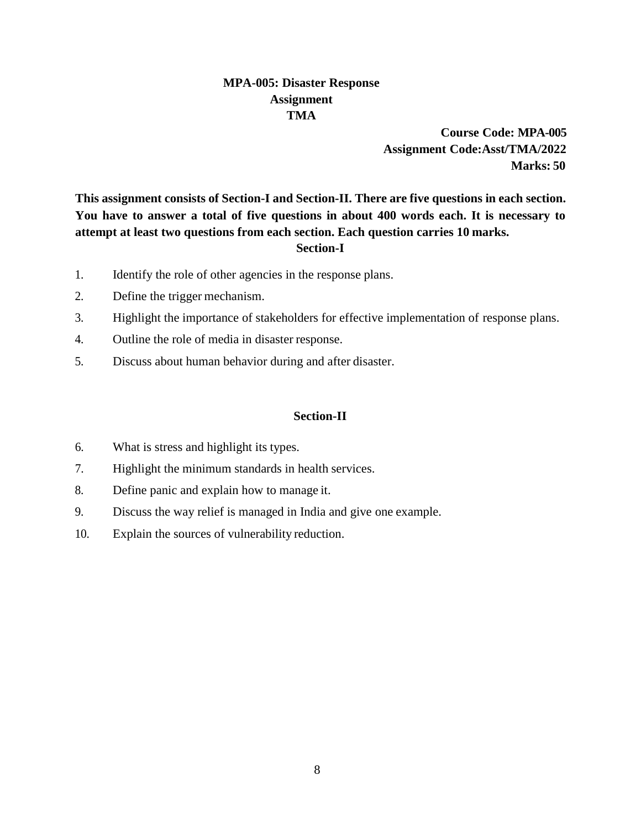# **MPA-005: Disaster Response Assignment TMA**

**Course Code: MPA-005 Assignment Code:Asst/TMA/2022 Marks: 50**

**This assignment consists of Section-I and Section-II. There are five questions in each section. You have to answer a total of five questions in about 400 words each. It is necessary to attempt at least two questions from each section. Each question carries 10 marks. Section-I**

- 1. Identify the role of other agencies in the response plans.
- 2. Define the trigger mechanism.
- 3. Highlight the importance of stakeholders for effective implementation of response plans.
- 4. Outline the role of media in disaster response.
- 5. Discuss about human behavior during and after disaster.

- 6. What is stress and highlight its types.
- 7. Highlight the minimum standards in health services.
- 8. Define panic and explain how to manage it.
- 9. Discuss the way relief is managed in India and give one example.
- 10. Explain the sources of vulnerability reduction.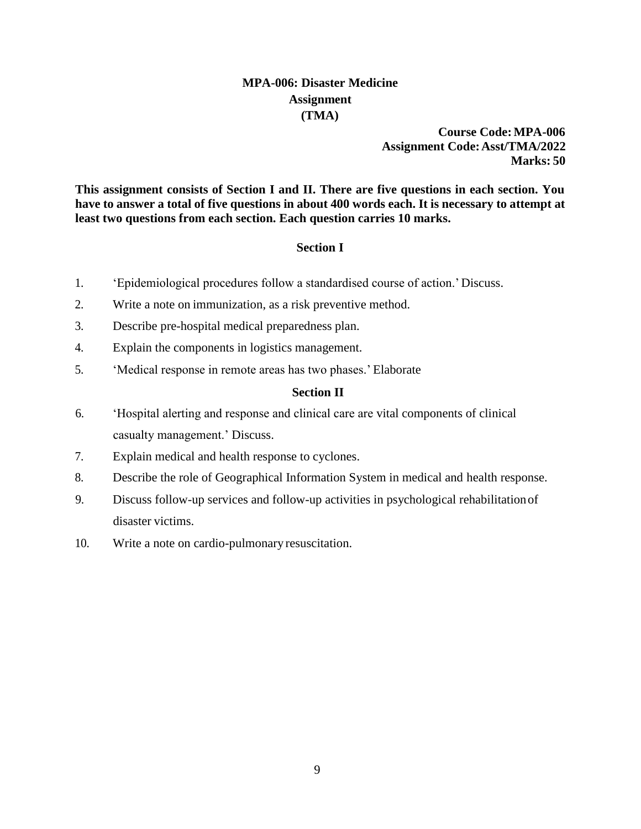# **MPA-006: Disaster Medicine Assignment (TMA)**

**Course Code:MPA-006 Assignment Code:Asst/TMA/2022 Marks: 50**

**This assignment consists of Section I and II. There are five questions in each section. You**  have to answer a total of five questions in about 400 words each. It is necessary to attempt at **least two questions from each section. Each question carries 10 marks.**

#### **Section I**

- 1. 'Epidemiological procedures follow a standardised course of action.' Discuss.
- 2. Write a note on immunization, as a risk preventive method.
- 3. Describe pre-hospital medical preparedness plan.
- 4. Explain the components in logistics management.
- 5. 'Medical response in remote areas has two phases.' Elaborate

#### **Section II**

- 6. 'Hospital alerting and response and clinical care are vital components of clinical casualty management.' Discuss.
- 7. Explain medical and health response to cyclones.
- 8. Describe the role of Geographical Information System in medical and health response.
- 9. Discuss follow-up services and follow-up activities in psychological rehabilitationof disaster victims.
- 10. Write a note on cardio-pulmonary resuscitation.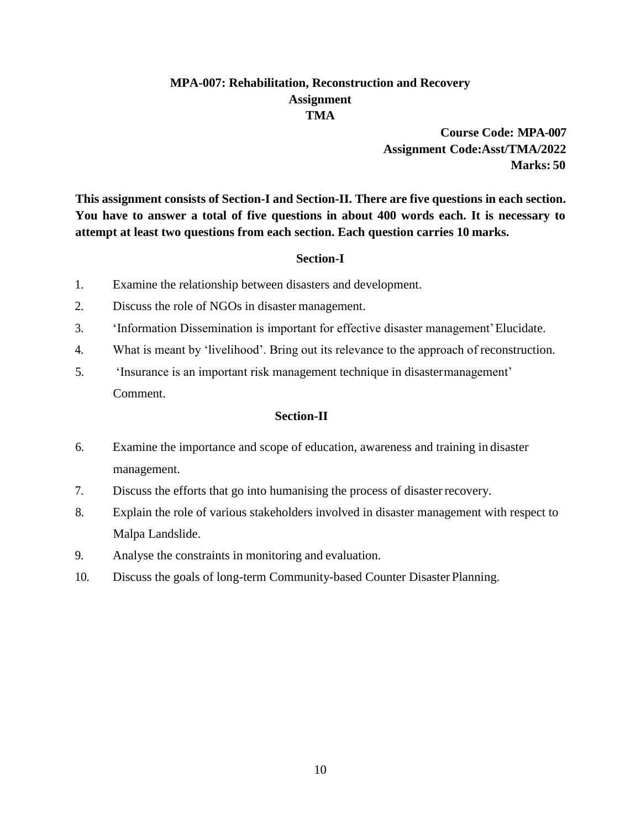# **MPA-007: Rehabilitation, Reconstruction and Recovery Assignment TMA**

**Course Code: MPA-007 Assignment Code:Asst/TMA/2022 Marks: 50**

**This assignment consists of Section-I and Section-II. There are five questions in each section. You have to answer a total of five questions in about 400 words each. It is necessary to attempt at least two questions from each section. Each question carries 10 marks.**

# **Section-I**

- 1. Examine the relationship between disasters and development.
- 2. Discuss the role of NGOs in disaster management.
- 3. 'Information Dissemination is important for effective disaster management'Elucidate.
- 4. What is meant by 'livelihood'. Bring out its relevance to the approach of reconstruction.
- 5. 'Insurance is an important risk management technique in disastermanagement' Comment.

- 6. Examine the importance and scope of education, awareness and training in disaster management.
- 7. Discuss the efforts that go into humanising the process of disasterrecovery.
- 8. Explain the role of various stakeholders involved in disaster management with respect to Malpa Landslide.
- 9. Analyse the constraints in monitoring and evaluation.
- 10. Discuss the goals of long-term Community-based Counter Disaster Planning.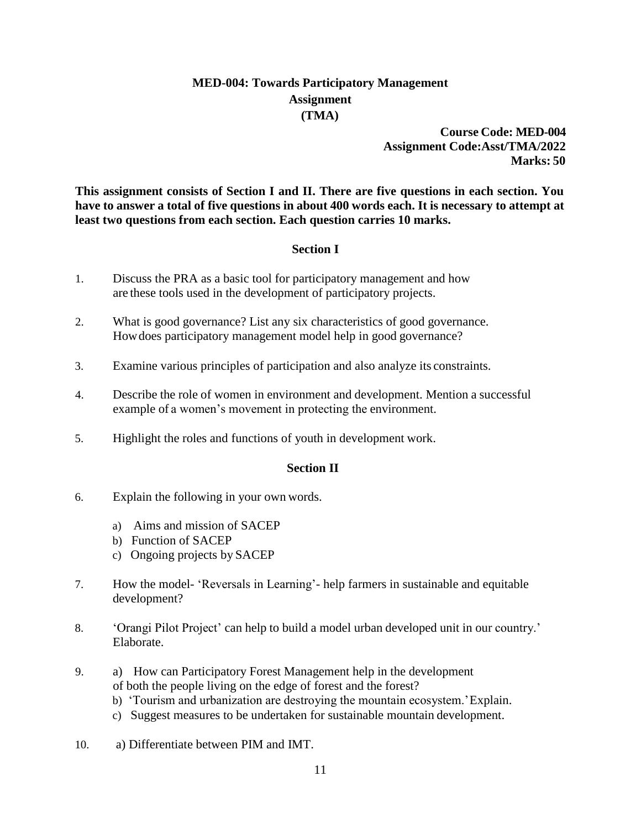# **MED-004: Towards Participatory Management Assignment (TMA)**

**Course Code: MED-004 Assignment Code:Asst/TMA/2022 Marks: 50**

**This assignment consists of Section I and II. There are five questions in each section. You**  have to answer a total of five questions in about 400 words each. It is necessary to attempt at **least two questions from each section. Each question carries 10 marks.**

### **Section I**

- 1. Discuss the PRA as a basic tool for participatory management and how are these tools used in the development of participatory projects.
- 2. What is good governance? List any six characteristics of good governance. Howdoes participatory management model help in good governance?
- 3. Examine various principles of participation and also analyze its constraints.
- 4. Describe the role of women in environment and development. Mention a successful example of a women's movement in protecting the environment.
- 5. Highlight the roles and functions of youth in development work.

### **Section II**

- 6. Explain the following in your own words.
	- a) Aims and mission of SACEP
	- b) Function of SACEP
	- c) Ongoing projects by SACEP
- 7. How the model- 'Reversals in Learning'- help farmers in sustainable and equitable development?
- 8. 'Orangi Pilot Project' can help to build a model urban developed unit in our country.' Elaborate.
- 9. a) How can Participatory Forest Management help in the development of both the people living on the edge of forest and the forest?
	- b) 'Tourism and urbanization are destroying the mountain ecosystem.'Explain.
	- c) Suggest measures to be undertaken for sustainable mountain development.
- 10. a) Differentiate between PIM and IMT.